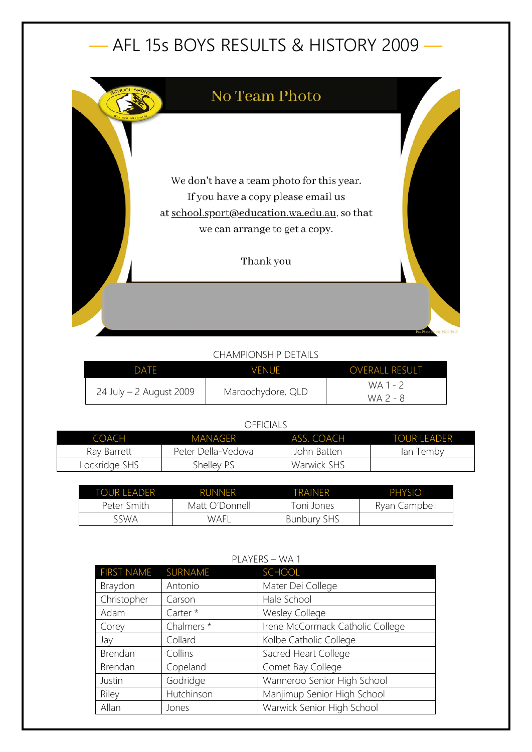# — AFL 15s BOYS RESULTS & HISTORY 2009 —



## CHAMPIONSHIP DETAILS

| DATE                      | VENUE             | <b>OVERALL RESULT</b> |
|---------------------------|-------------------|-----------------------|
| $24$ July – 2 August 2009 |                   | WA 1 - 2              |
|                           | Maroochydore, QLD | WA 2 - 8              |

#### OFFICIALS

| COACH         | MANAGER 1          | ASS. COACH  | <b>TOUR LEADER</b> |
|---------------|--------------------|-------------|--------------------|
| Ray Barrett   | Peter Della-Vedova | John Batten | lan Temby          |
| Lockridge SHS | Shelley PS         | Warwick SHS |                    |

| TOUR LEADER | <b>RUNNER</b>  | TRAINFR            | PHYSIO        |
|-------------|----------------|--------------------|---------------|
| Peter Smith | Matt O'Donnell | Toni Jones         | Ryan Campbell |
| SWA د       | WAFI           | <b>Bunbury SHS</b> |               |

| <b>FIRST NAME</b> | SURNAME    | <b>SCHOOL</b>                    |  |
|-------------------|------------|----------------------------------|--|
| Braydon           | Antonio    | Mater Dei College                |  |
| Christopher       | Carson     | Hale School                      |  |
| Adam              | Carter *   | <b>Wesley College</b>            |  |
| Corey             | Chalmers * | Irene McCormack Catholic College |  |
| Jay               | Collard    | Kolbe Catholic College           |  |
| Brendan           | Collins    | Sacred Heart College             |  |
| Brendan           | Copeland   | Comet Bay College                |  |
| Justin            | Godridge   | Wanneroo Senior High School      |  |
| Riley             | Hutchinson | Manjimup Senior High School      |  |
| Allan             | Jones      | Warwick Senior High School       |  |

## PLAYERS – WA 1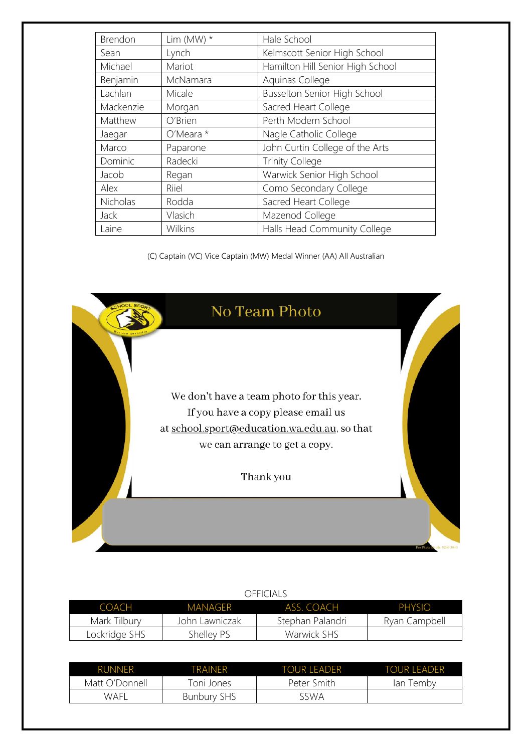| Brendon     | Lim (MW) $*$ | Hale School                      |
|-------------|--------------|----------------------------------|
| Sean        | Lynch        | Kelmscott Senior High School     |
| Michael     | Mariot       | Hamilton Hill Senior High School |
| Benjamin    | McNamara     | Aquinas College                  |
| Lachlan     | Micale       | Busselton Senior High School     |
| Mackenzie   | Morgan       | Sacred Heart College             |
| Matthew     | O'Brien      | Perth Modern School              |
| Jaegar      | $O'Meara*$   | Nagle Catholic College           |
| Marco       | Paparone     | John Curtin College of the Arts  |
| Dominic     | Radecki      | <b>Trinity College</b>           |
| Jacob       | Regan        | Warwick Senior High School       |
| Alex        | Riiel        | Como Secondary College           |
| Nicholas    | Rodda        | Sacred Heart College             |
| <b>Jack</b> | Vlasich      | Mazenod College                  |
| Laine       | Wilkins      | Halls Head Community College     |

(C) Captain (VC) Vice Captain (MW) Medal Winner (AA) All Australian



| COACH         | MANAGFR        | ASS COACH        | PHYSIO        |
|---------------|----------------|------------------|---------------|
| Mark Tilbury  | John Lawniczak | Stephan Palandri | Ryan Campbell |
| Lockridge SHS | Shelley PS     | Warwick SHS      |               |

| <b>RUNNER</b>  | TRAINER            | TOUR LEADER | <b>TOUR LEADER</b> |
|----------------|--------------------|-------------|--------------------|
| Matt O'Donnell | Toni Jones         | Peter Smith | emby<br>an         |
| WAFI           | <b>Bunbury SHS</b> | sswa        |                    |